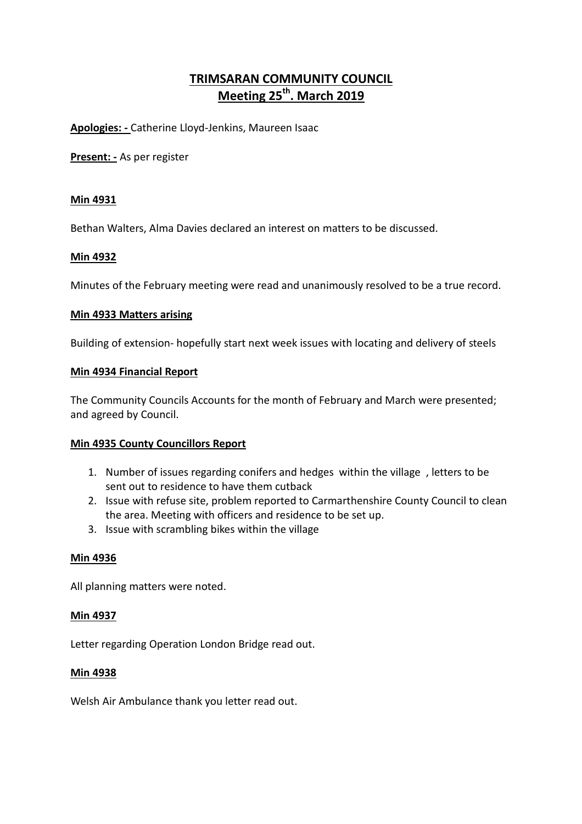# **TRIMSARAN COMMUNITY COUNCIL Meeting 25th. March 2019**

**Apologies: -** Catherine Lloyd-Jenkins, Maureen Isaac

**Present: -** As per register

# **Min 4931**

Bethan Walters, Alma Davies declared an interest on matters to be discussed.

# **Min 4932**

Minutes of the February meeting were read and unanimously resolved to be a true record.

### **Min 4933 Matters arising**

Building of extension- hopefully start next week issues with locating and delivery of steels

#### **Min 4934 Financial Report**

The Community Councils Accounts for the month of February and March were presented; and agreed by Council.

# **Min 4935 County Councillors Report**

- 1. Number of issues regarding conifers and hedges within the village , letters to be sent out to residence to have them cutback
- 2. Issue with refuse site, problem reported to Carmarthenshire County Council to clean the area. Meeting with officers and residence to be set up.
- 3. Issue with scrambling bikes within the village

# **Min 4936**

All planning matters were noted.

#### **Min 4937**

Letter regarding Operation London Bridge read out.

#### **Min 4938**

Welsh Air Ambulance thank you letter read out.